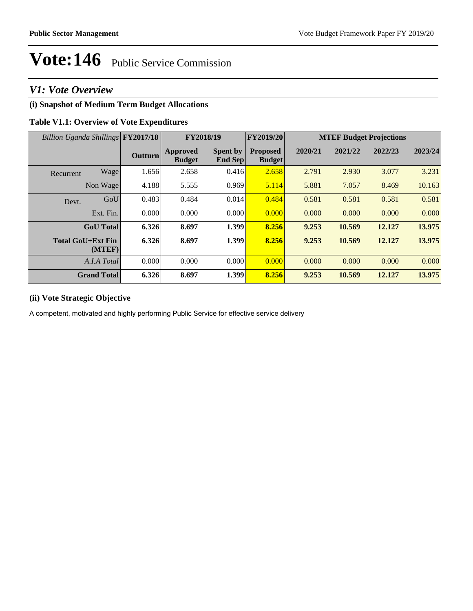## *V1: Vote Overview*

## **(i) Snapshot of Medium Term Budget Allocations**

## **Table V1.1: Overview of Vote Expenditures**

| Billion Uganda Shillings FY2017/18 |                | FY2018/19                        |                                   | FY2019/20                        | <b>MTEF Budget Projections</b> |         |         |         |
|------------------------------------|----------------|----------------------------------|-----------------------------------|----------------------------------|--------------------------------|---------|---------|---------|
|                                    | <b>Outturn</b> | <b>Approved</b><br><b>Budget</b> | <b>Spent by</b><br><b>End Sep</b> | <b>Proposed</b><br><b>Budget</b> | 2020/21                        | 2021/22 | 2022/23 | 2023/24 |
| Wage<br>Recurrent                  | 1.656          | 2.658                            | 0.416                             | 2.658                            | 2.791                          | 2.930   | 3.077   | 3.231   |
| Non Wage                           | 4.188          | 5.555                            | 0.969                             | 5.114                            | 5.881                          | 7.057   | 8.469   | 10.163  |
| GoU<br>Devt.                       | 0.483          | 0.484                            | 0.014                             | 0.484                            | 0.581                          | 0.581   | 0.581   | 0.581   |
| Ext. Fin.                          | 0.000          | 0.000                            | 0.000                             | 0.000                            | 0.000                          | 0.000   | 0.000   | 0.000   |
| <b>GoU</b> Total                   | 6.326          | 8.697                            | 1.399                             | 8.256                            | 9.253                          | 10.569  | 12.127  | 13.975  |
| <b>Total GoU+Ext Fin</b><br>(MTEF) | 6.326          | 8.697                            | 1.399                             | 8.256                            | 9.253                          | 10.569  | 12.127  | 13.975  |
| A.I.A Total                        | 0.000          | 0.000                            | 0.000                             | 0.000                            | 0.000                          | 0.000   | 0.000   | 0.000   |
| <b>Grand Total</b>                 | 6.326          | 8.697                            | 1.399                             | 8.256                            | 9.253                          | 10.569  | 12.127  | 13.975  |

## **(ii) Vote Strategic Objective**

A competent, motivated and highly performing Public Service for effective service delivery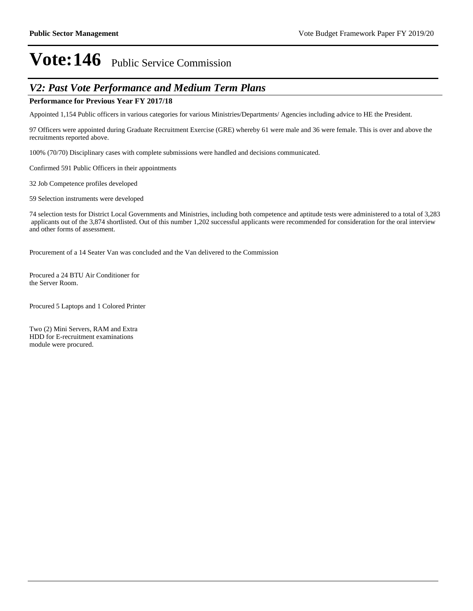## *V2: Past Vote Performance and Medium Term Plans*

### **Performance for Previous Year FY 2017/18**

Appointed 1,154 Public officers in various categories for various Ministries/Departments/ Agencies including advice to HE the President.

97 Officers were appointed during Graduate Recruitment Exercise (GRE) whereby 61 were male and 36 were female. This is over and above the recruitments reported above.

100% (70/70) Disciplinary cases with complete submissions were handled and decisions communicated.

Confirmed 591 Public Officers in their appointments

32 Job Competence profiles developed

59 Selection instruments were developed

74 selection tests for District Local Governments and Ministries, including both competence and aptitude tests were administered to a total of 3,283 applicants out of the 3,874 shortlisted. Out of this number 1,202 successful applicants were recommended for consideration for the oral interview and other forms of assessment.

Procurement of a 14 Seater Van was concluded and the Van delivered to the Commission

Procured a 24 BTU Air Conditioner for the Server Room.

Procured 5 Laptops and 1 Colored Printer

Two (2) Mini Servers, RAM and Extra HDD for E-recruitment examinations module were procured.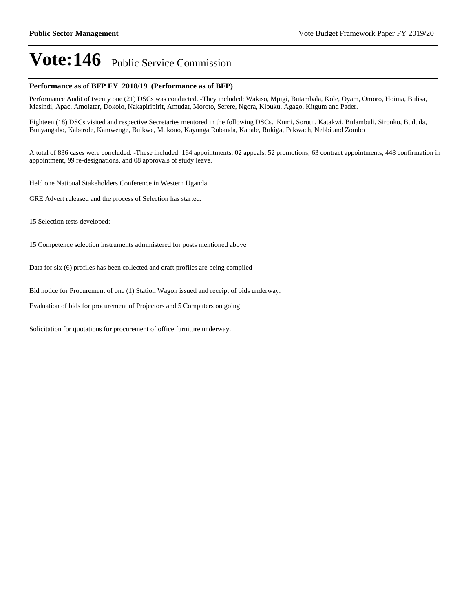#### **Performance as of BFP FY 2018/19 (Performance as of BFP)**

Performance Audit of twenty one (21) DSCs was conducted. -They included: Wakiso, Mpigi, Butambala, Kole, Oyam, Omoro, Hoima, Bulisa, Masindi, Apac, Amolatar, Dokolo, Nakapiripirit, Amudat, Moroto, Serere, Ngora, Kibuku, Agago, Kitgum and Pader.

Eighteen (18) DSCs visited and respective Secretaries mentored in the following DSCs. Kumi, Soroti , Katakwi, Bulambuli, Sironko, Bududa, Bunyangabo, Kabarole, Kamwenge, Buikwe, Mukono, Kayunga,Rubanda, Kabale, Rukiga, Pakwach, Nebbi and Zombo

A total of 836 cases were concluded. -These included: 164 appointments, 02 appeals, 52 promotions, 63 contract appointments, 448 confirmation in appointment, 99 re-designations, and 08 approvals of study leave.

Held one National Stakeholders Conference in Western Uganda.

GRE Advert released and the process of Selection has started.

15 Selection tests developed:

15 Competence selection instruments administered for posts mentioned above

Data for six (6) profiles has been collected and draft profiles are being compiled

Bid notice for Procurement of one (1) Station Wagon issued and receipt of bids underway.

Evaluation of bids for procurement of Projectors and 5 Computers on going

Solicitation for quotations for procurement of office furniture underway.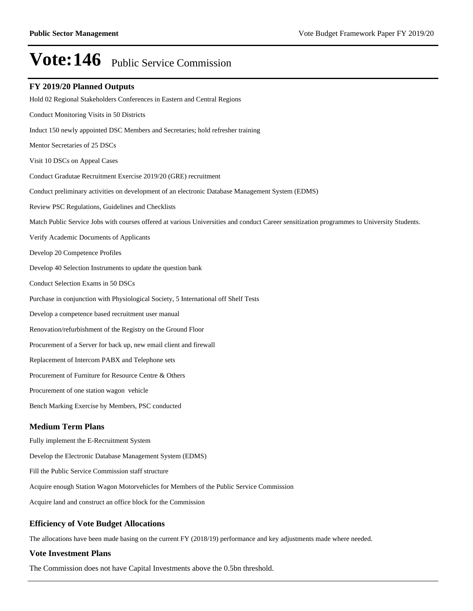#### **FY 2019/20 Planned Outputs**

Hold 02 Regional Stakeholders Conferences in Eastern and Central Regions Conduct Monitoring Visits in 50 Districts Induct 150 newly appointed DSC Members and Secretaries; hold refresher training Mentor Secretaries of 25 DSCs Visit 10 DSCs on Appeal Cases Conduct Gradutae Recruitment Exercise 2019/20 (GRE) recruitment Conduct preliminary activities on development of an electronic Database Management System (EDMS) Review PSC Regulations, Guidelines and Checklists Match Public Service Jobs with courses offered at various Universities and conduct Career sensitization programmes to University Students. Verify Academic Documents of Applicants Develop 20 Competence Profiles Develop 40 Selection Instruments to update the question bank Conduct Selection Exams in 50 DSCs Purchase in conjunction with Physiological Society, 5 International off Shelf Tests Develop a competence based recruitment user manual Renovation/refurbishment of the Registry on the Ground Floor Procurement of a Server for back up, new email client and firewall Replacement of Intercom PABX and Telephone sets Procurement of Furniture for Resource Centre & Others Procurement of one station wagon vehicle Bench Marking Exercise by Members, PSC conducted Fully implement the E-Recruitment System Develop the Electronic Database Management System (EDMS) **Medium Term Plans**

Fill the Public Service Commission staff structure

Acquire enough Station Wagon Motorvehicles for Members of the Public Service Commission

Acquire land and construct an office block for the Commission

### **Efficiency of Vote Budget Allocations**

The allocations have been made basing on the current FY (2018/19) performance and key adjustments made where needed.

#### **Vote Investment Plans**

The Commission does not have Capital Investments above the 0.5bn threshold.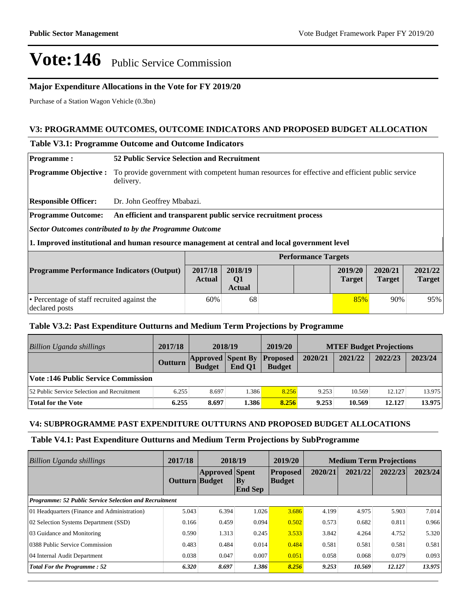### **Major Expenditure Allocations in the Vote for FY 2019/20**

Purchase of a Station Wagon Vehicle (0.3bn)

### **V3: PROGRAMME OUTCOMES, OUTCOME INDICATORS AND PROPOSED BUDGET ALLOCATION**

### **Table V3.1: Programme Outcome and Outcome Indicators**

| <b>Programme:</b>                                                                             |                                                                                                              | <b>52 Public Service Selection and Recruitment</b>              |                                            |  |  |                          |                          |                          |
|-----------------------------------------------------------------------------------------------|--------------------------------------------------------------------------------------------------------------|-----------------------------------------------------------------|--------------------------------------------|--|--|--------------------------|--------------------------|--------------------------|
| <b>Programme Objective:</b>                                                                   | To provide government with competent human resources for effective and efficient public service<br>delivery. |                                                                 |                                            |  |  |                          |                          |                          |
| <b>Responsible Officer:</b>                                                                   | Dr. John Geoffrey Mbabazi.                                                                                   |                                                                 |                                            |  |  |                          |                          |                          |
| <b>Programme Outcome:</b>                                                                     |                                                                                                              | An efficient and transparent public service recruitment process |                                            |  |  |                          |                          |                          |
| <b>Sector Outcomes contributed to by the Programme Outcome</b>                                |                                                                                                              |                                                                 |                                            |  |  |                          |                          |                          |
| 1. Improved institutional and human resource management at central and local government level |                                                                                                              |                                                                 |                                            |  |  |                          |                          |                          |
|                                                                                               | <b>Performance Targets</b>                                                                                   |                                                                 |                                            |  |  |                          |                          |                          |
| <b>Programme Performance Indicators (Output)</b>                                              |                                                                                                              | 2017/18<br><b>Actual</b>                                        | 2018/19<br>Q <sub>1</sub><br><b>Actual</b> |  |  | 2019/20<br><b>Target</b> | 2020/21<br><b>Target</b> | 2021/22<br><b>Target</b> |
| • Percentage of staff recruited against the<br>declared posts                                 |                                                                                                              | 60%                                                             | 68                                         |  |  | 85%                      | 90%                      | 95%                      |

### **Table V3.2: Past Expenditure Outturns and Medium Term Projections by Programme**

| <b>Billion Uganda shillings</b>             | 2017/18        | 2018/19                                            |        | 2019/20       | <b>MTEF Budget Projections</b> |         |         |         |
|---------------------------------------------|----------------|----------------------------------------------------|--------|---------------|--------------------------------|---------|---------|---------|
|                                             | <b>Outturn</b> | <b>Approved Spent By Proposed</b><br><b>Budget</b> | End O1 | <b>Budget</b> | 2020/21                        | 2021/22 | 2022/23 | 2023/24 |
| Vote :146 Public Service Commission         |                |                                                    |        |               |                                |         |         |         |
| 52 Public Service Selection and Recruitment | 6.255          | 8.697                                              | 1.386  | 8.256         | 9.253                          | 10.569  | 12.127  | 13.975  |
| <b>Total for the Vote</b>                   | 6.255          | 8.697                                              | 1.386  | 8.256         | 9.253                          | 10.569  | 12.127  | 13.975  |

### **V4: SUBPROGRAMME PAST EXPENDITURE OUTTURNS AND PROPOSED BUDGET ALLOCATIONS**

### **Table V4.1: Past Expenditure Outturns and Medium Term Projections by SubProgramme**

| Billion Uganda shillings                                      | 2017/18        | 2018/19               |                      | 2019/20                          | <b>Medium Term Projections</b> |         |         |         |
|---------------------------------------------------------------|----------------|-----------------------|----------------------|----------------------------------|--------------------------------|---------|---------|---------|
|                                                               | Outturn Budget | <b>Approved</b> Spent | By<br><b>End Sep</b> | <b>Proposed</b><br><b>Budget</b> | 2020/21                        | 2021/22 | 2022/23 | 2023/24 |
| <b>Programme: 52 Public Service Selection and Recruitment</b> |                |                       |                      |                                  |                                |         |         |         |
| 01 Headquarters (Finance and Administration)                  | 5.043          | 6.394                 | 1.026                | 3.686                            | 4.199                          | 4.975   | 5.903   | 7.014   |
| 02 Selection Systems Department (SSD)                         | 0.166          | 0.459                 | 0.094                | 0.502                            | 0.573                          | 0.682   | 0.811   | 0.966   |
| 03 Guidance and Monitoring                                    | 0.590          | 1.313                 | 0.245                | 3.533                            | 3.842                          | 4.264   | 4.752   | 5.320   |
| 0388 Public Service Commission                                | 0.483          | 0.484                 | 0.014                | 0.484                            | 0.581                          | 0.581   | 0.581   | 0.581   |
| 04 Internal Audit Department                                  | 0.038          | 0.047                 | 0.007                | 0.051                            | 0.058                          | 0.068   | 0.079   | 0.093   |
| <b>Total For the Programme: 52</b>                            | 6.320          | 8.697                 | 1.386                | 8.256                            | 9.253                          | 10.569  | 12.127  | 13.975  |